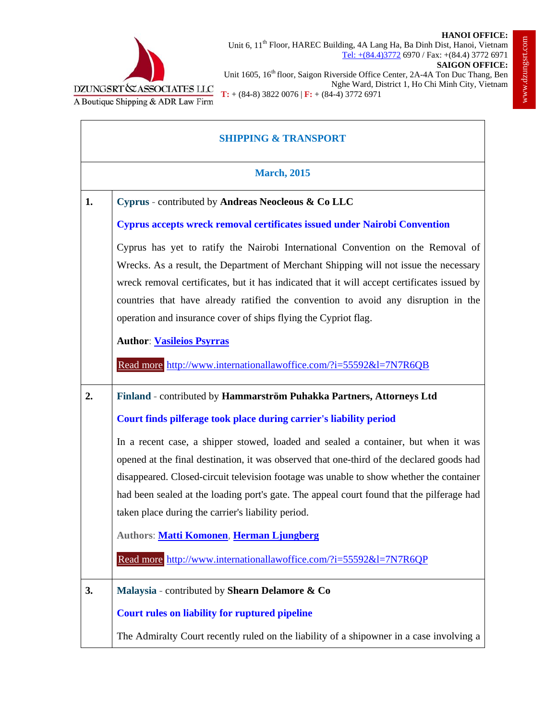

## **SHIPPING & TRANSPORT March, 2015 1. Cyprus** - contributed by **Andreas Neocleous & Co LLC Cyprus accepts wreck removal certificates issued under Nairobi Convention** Cyprus has yet to ratify the Nairobi International Convention on the Removal of Wrecks. As a result, the Department of Merchant Shipping will not issue the necessary wreck removal certificates, but it has indicated that it will accept certificates issued by countries that have already ratified the convention to avoid any disruption in the operation and insurance cover of ships flying the Cypriot flag. **Author**: **Vasileios Psyrras** Read more http://www.internationallawoffice.com/?i=55592&l=7N7R6QB **2. Finland** - contributed by **Hammarström Puhakka Partners, Attorneys Ltd Court finds pilferage took place during carrier's liability period** In a recent case, a shipper stowed, loaded and sealed a container, but when it was opened at the final destination, it was observed that one-third of the declared goods had disappeared. Closed-circuit television footage was unable to show whether the container had been sealed at the loading port's gate. The appeal court found that the pilferage had taken place during the carrier's liability period. **Authors**: **Matti Komonen**, **Herman Ljungberg** Read more http://www.internationallawoffice.com/?i=55592&l=7N7R6QP **3. Malaysia** - contributed by **Shearn Delamore & Co Court rules on liability for ruptured pipeline** The Admiralty Court recently ruled on the liability of a shipowner in a case involving a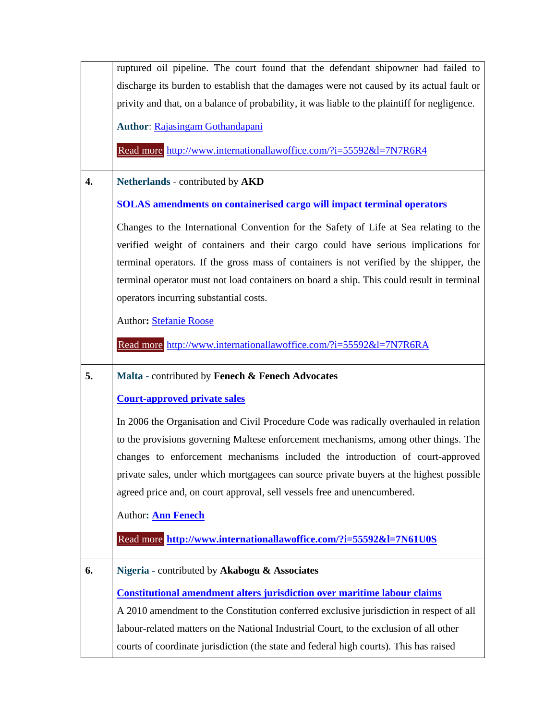|    | ruptured oil pipeline. The court found that the defendant shipowner had failed to             |
|----|-----------------------------------------------------------------------------------------------|
|    | discharge its burden to establish that the damages were not caused by its actual fault or     |
|    | privity and that, on a balance of probability, it was liable to the plaintiff for negligence. |
|    | <b>Author: Rajasingam Gothandapani</b>                                                        |
|    | Read more http://www.internationallawoffice.com/?i=55592&l=7N7R6R4                            |
| 4. | Netherlands - contributed by AKD                                                              |
|    | <b>SOLAS</b> amendments on containerised cargo will impact terminal operators                 |
|    | Changes to the International Convention for the Safety of Life at Sea relating to the         |
|    | verified weight of containers and their cargo could have serious implications for             |
|    | terminal operators. If the gross mass of containers is not verified by the shipper, the       |
|    | terminal operator must not load containers on board a ship. This could result in terminal     |
|    | operators incurring substantial costs.                                                        |
|    | Author: Stefanie Roose                                                                        |
|    | Read more http://www.internationallawoffice.com/?i=55592&l=7N7R6RA                            |
| 5. | Malta - contributed by Fenech & Fenech Advocates                                              |
|    | <b>Court-approved private sales</b>                                                           |
|    | In 2006 the Organisation and Civil Procedure Code was radically overhauled in relation        |
|    | to the provisions governing Maltese enforcement mechanisms, among other things. The           |
|    | changes to enforcement mechanisms included the introduction of court-approved                 |
|    | private sales, under which mortgagees can source private buyers at the highest possible       |
|    | agreed price and, on court approval, sell vessels free and unencumbered.                      |
|    | Author: <b>Ann Fenech</b>                                                                     |
|    | Read more http://www.internationallawoffice.com/?i=55592&l=7N61U0S                            |
| 6. | Nigeria - contributed by Akabogu & Associates                                                 |
|    | <b>Constitutional amendment alters jurisdiction over maritime labour claims</b>               |
|    | A 2010 amendment to the Constitution conferred exclusive jurisdiction in respect of all       |
|    | labour-related matters on the National Industrial Court, to the exclusion of all other        |
|    | courts of coordinate jurisdiction (the state and federal high courts). This has raised        |